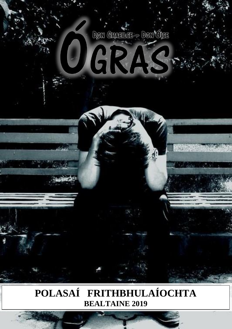

GRA.

stel

# 1 **BEALTAINE 2019POLASAÍ FRITHBHULAÍOCHTA**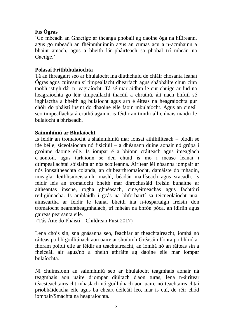## **Fís Ógras**

'Go mbeadh an Ghaeilge ar theanga phobail ag daoine óga na hÉireann, agus go mbeadh an fhéinmhuinnín agus an cumas acu a n-acmhainn a bhaint amach, agus a bheith lán-pháirteach sa phobal trí mheán na Gaeilge.'

#### **Polasaí Frithbhulaíochta**

Tá an fhreagairt seo ar bhulaíocht ina dlúthchuid de chláir chosanta leanaí Ógras agus cuireann sí timpeallacht dhearfach agus shábháilte chun cinn taobh istigh dár n- eagraíocht. Tá sé mar aidhm le cur chuige ar fud na heagraíochta go léir timpeallacht thacúil a chruthú, áit nach bhfuil sé inghlactha a bheith ag bulaíocht agus arb é éiteas na heagraíochta gur chóir do pháistí insint do dhaoine eile faoin mbulaíocht. Agus an cineál seo timpeallachta á cruthú againn, is féidir an timthriall ciúnais maidir le bulaíocht a bhriseadh.

#### **Sainmhíniú ar Bhulaíocht**

Is féidir an tromaíocht a shainmhíniú mar ionsaí athfhillteach – bíodh sé íde béile, síceolaíochta nó fisiciúil – a dhéanann duine aonair nó grúpa i gcoinne daoine eile. Is iompar é a bhíonn cráiteach agus imeaglach d'aontoil, agus tarlaíonn sé den chuid is mó i measc leanaí i dtimpeallachtaí sóisialta ar nós scoileanna. Áirítear léi nósanna iompair ar nós ionsaitheachta colanda, an chibearthromaíocht, damáiste do mhaoin, imeagla, leithlisiú/eisiamh, maslú, béadán mailíseach agus sracadh. Is féidir leis an tromaíocht bheith mar dhrochúsáid freisin bunaithe ar aitheantas inscne, rogha ghnéasach, cine,eitneachas agus fachtóirí reiligiúnacha. Is amhlaidh i gcás na bhforbairtí sa teicneolaíocht nuaaimseartha ar féidir le leanaí bheith ina n-íospartaigh freisin don tromaíocht neamhtheagmhálach, trí mheán na bhfón póca, an idirlín agus gaireas pearsanta eile.

(Tús Áite do Pháistí – Childrean First 2017)

Lena chois sin, sna gnásanna seo, féachfar ar theachtaireacht, íomhá nó ráiteas poiblí goilliúnach aon uaire ar shuíomh Gréasáin líonra poiblí nó ar fhóram poiblí eile ar féidir an teachtaireacht, an íomhá nó an ráiteas sin a fheiceáil air agus/nó a bheith athráite ag daoine eile mar iompar bulaíochta.

Ní chuimsíonn an sainmhíniú seo ar bhulaíocht teagmhais aonair ná teagmhais aon uaire d'iompar diúltach d'aon turas, lena n-áirítear téacsteachtaireacht mhaslach nó goilliúnach aon uaire nó teachtaireachtaí príobháideacha eile agus ba cheart déileáil leo, mar is cuí, de réir chód iompair/Smachta na heagraiochta.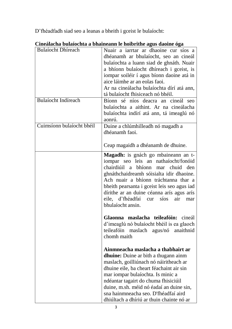D'fhéadfadh siad seo a leanas a bheith i gceist le bulaíocht:

| <b>Bulaíocht Dhíreach</b>  | Nuair a iarrtar ar dhaoine cur síos a<br>dhéanamh ar bhulaíocht, seo an cineál<br>bulaíochta a luann siad de ghnáth. Nuair<br>a bhíonn bulaíocht dhíreach i gceist, is<br>iompar soiléir í agus bíonn daoine atá in<br>aice láimhe ar an eolas faoi.<br>Ar na cineálacha bulaíochta dírí atá ann,<br>tá bulaíocht fhisiceach nó bhéil.                                                |
|----------------------------|---------------------------------------------------------------------------------------------------------------------------------------------------------------------------------------------------------------------------------------------------------------------------------------------------------------------------------------------------------------------------------------|
| <b>Bulaíocht Indíreach</b> | Bíonn sé níos deacra an cineál seo<br>bulaíochta a aithint. Ar na cineálacha<br>bulaíochta indírí atá ann, tá imeaglú nó<br>aonrú.                                                                                                                                                                                                                                                    |
| Cuimsíonn bulaíocht bhéil  | Duine a chlúmhilleadh nó magadh a<br>dhéanamh faoi.<br>Ceap magaidh a dhéanamh de dhuine.                                                                                                                                                                                                                                                                                             |
|                            | Magadh: is gnách go mbaineann an t-<br>iompar seo leis an nathaíocht/fonóid<br>chairdiúil a bhíonn mar chuid den<br>ghnáthchaidreamh sóisialta idir dhaoine.<br>Ach nuair a bhíonn tráchtanna thar a<br>bheith pearsanta i gceist leis seo agus iad<br>dírithe ar an duine céanna arís agus arís<br>eile, d'fhéadfaí cur<br>sios<br>air<br>mar<br>bhulaíocht ansin.                   |
|                            | Glaonna maslacha teileafóin: cineál<br>d'imeaglú nó bulaíocht bhéil is ea glaoch<br>teileafóin<br>maslach agus/nó<br>anaithnid<br>chomh maith                                                                                                                                                                                                                                         |
|                            | Ainmneacha maslacha a thabhairt ar<br><b>dhuine:</b> Duine ar bith a thugann ainm<br>maslach, goilliúnach nó náiritheach ar<br>dhuine eile, ba cheart féachaint air sin<br>mar iompar bulaíochta. Is minic a<br>ndéantar tagairt do chuma fhisiciúil<br>duine, m.sh. méid nó éadaí an duine sin,<br>sna hainmneacha seo. D'fhéadfaí aird<br>dhiúltach a dhíriú ar thuin chainte nó ar |

# **Cineálacha bulaíochta a bhaineann le hoibrithe agus daoine óga**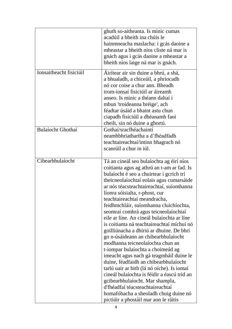|                          | ghuth so-aitheanta. Is minic cumas<br>acadúil a bheith ina chúis le<br>hainmneacha maslacha: i gcás daoine a<br>mheastar a bheith níos cliste ná mar is<br>gnách agus i gcás daoine a mheastar a<br>bheith níos laige ná mar is gnách.                                                                                                                                                                                                                                                                                                                                                                                                                                                                                                                                                                                                                                                                                                                                           |
|--------------------------|----------------------------------------------------------------------------------------------------------------------------------------------------------------------------------------------------------------------------------------------------------------------------------------------------------------------------------------------------------------------------------------------------------------------------------------------------------------------------------------------------------------------------------------------------------------------------------------------------------------------------------------------------------------------------------------------------------------------------------------------------------------------------------------------------------------------------------------------------------------------------------------------------------------------------------------------------------------------------------|
| Ionsaitheacht fisiciúil  | Áirítear air sin duine a bhrú, a shá,<br>a bhualadh, a chiceáil, a phriocadh<br>nó cor coise a chur ann. Bheadh<br>trom-ionsaí fisiciúil ar áireamh<br>anseo. Is minic a théann daltaí i<br>mbun 'troideanna bréige', ach<br>féadtar úsáid a bhaint astu chun<br>ciapadh fisiciúil a dhéanamh faoi<br>cheilt, sin nó duine a ghortú.                                                                                                                                                                                                                                                                                                                                                                                                                                                                                                                                                                                                                                             |
| <b>Bulaíocht Ghothaí</b> | Gothaí/sracfhéachaintí<br>neamhbhriathartha a d'fhéadfadh<br>teachtaireachtaí/intinn bhagrach nó<br>scanrúil a chur in iúl.                                                                                                                                                                                                                                                                                                                                                                                                                                                                                                                                                                                                                                                                                                                                                                                                                                                      |
| Cibearbhulaíocht         | Tá an cineál seo bulaíochta ag éirí níos<br>coitianta agus ag athrú an t-am ar fad. Is<br>bulaíocht é seo a chuirtear i gcrích trí<br>theicneolaíochtaí eolais agus cumarsáide<br>ar nós téacsteachtaireachtaí, suíomhanna<br>líonra sóisialta, r-phost, cur<br>teachtaireachtaí meandracha,<br>feidhmchláir, suíomhanna cluichíochta,<br>seomraí comhrá agus teicneolaíochtaí<br>eile ar líne. An cineál bulaíochta ar líne<br>is coitianta ná teachtaireachtaí míchuí nó<br>goilliúnacha a dhíriú ar dhuine. De bhrí<br>go n-úsáideann an chibearbhulaíocht<br>modhanna teicneolaíochta chun an<br>t-iompar bulaíochta a choimeád ag<br>imeacht agus nach gá teagmháil duine le<br>duine, féadfaidh an chibearbhulaíocht<br>tarlú uair ar bith (lá nó oíche). Is iomaí<br>cineál bulaíochta is féidir a éascú tríd an<br>gcibearbhulaíocht. Mar shampla,<br>d'fhéadfaí téacsteachtaireachtaí<br>homafóbacha a sheoladh chuig duine nó<br>pictiúir a phostáil mar aon le ráitis |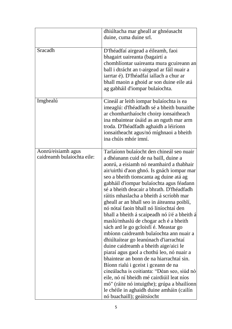|                                                  | dhiúltacha mar gheall ar ghnéasacht<br>duine, cuma duine srl.                                                                                                                                                                                                                                                                                                                                                                                                                                                                                                                                                                                                                                                                                                                                                                                                                                                                                                                                                                                                            |
|--------------------------------------------------|--------------------------------------------------------------------------------------------------------------------------------------------------------------------------------------------------------------------------------------------------------------------------------------------------------------------------------------------------------------------------------------------------------------------------------------------------------------------------------------------------------------------------------------------------------------------------------------------------------------------------------------------------------------------------------------------------------------------------------------------------------------------------------------------------------------------------------------------------------------------------------------------------------------------------------------------------------------------------------------------------------------------------------------------------------------------------|
| Sracadh                                          | D'fhéadfaí airgead a éileamh, faoi<br>bhagairt uaireanta (bagairtí a<br>chomhlíontar uaireanta mura gcuireann an<br>ball i dtrácht an t-airgead ar fáil nuair a<br>iarrtar é). D'fhéadfaí iallach a chur ar<br>bhall maoin a ghoid ar son duine eile atá<br>ag gabháil d'iompar bulaíochta.                                                                                                                                                                                                                                                                                                                                                                                                                                                                                                                                                                                                                                                                                                                                                                              |
| Imghealú                                         | Cineál ar leith iompar bulaíochta is ea<br>imeaglú: d'fhéadfadh sé a bheith bunaithe<br>ar chomharthaíocht choirp ionsaitheach<br>ina mbaintear úsáid as an nguth mar arm<br>troda. D'fhéadfadh aghaidh a léiríonn<br>ionsaitheacht agus/nó míghnaoi a bheith<br>ina chúis mhór imní.                                                                                                                                                                                                                                                                                                                                                                                                                                                                                                                                                                                                                                                                                                                                                                                    |
| Aonrú/eisiamh agus<br>caidreamh bulaiochta eile: | Tarlaíonn bulaíocht den chineál seo nuair<br>a dhéanann cuid de na baill, duine a<br>aonrú, a eisiamh nó neamhaird a thabhair<br>air/uirthi d'aon ghnó. Is gnách iompar mar<br>seo a bheith tionscanta ag duine atá ag<br>gabháil d'iompar bulaíochta agus féadann<br>sé a bheith deacair a bhrath. D'fhéadfadh<br>ráitis mhaslacha a bheith á scríobh mar<br>gheall ar an bhall seo in áiteanna poiblí,<br>nó nótaí faoin bhall nó líníochtaí den<br>bhall a bheith á scaipeadh nó í/é a bheith á<br>maslú/mhaslú de chogar ach é a bheith<br>sách ard le go gcloisfí é. Meastar go<br>mbíonn caidreamh bulaíochta ann nuair a<br>dhiúltaítear go leanúnach d'iarrachtaí<br>duine caidreamh a bheith aige/aici le<br>piaraí agus gaol a chothú leo, nó nuair a<br>bhaintear an bonn de na hiarrachtaí sin.<br>Bíonn rialú i gceist i gceann de na<br>cineálacha is coitianta: "Déan seo, siúd nó<br>eile, nó ní bheidh mé cairdiúil leat níos<br>mó" (ráite nó intuigthe); grúpa a bhailíonn<br>le chéile in aghaidh duine amháin (cailín<br>nó buachaill); geáitsíocht |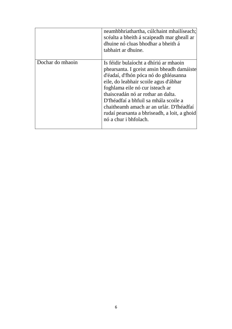|                  | neamhbhriathartha, cúlchaint mhailíseach;<br>scéalta a bheith á scaipeadh mar gheall ar<br>dhuine nó cluas bhodhar a bheith á<br>tabhairt ar dhuine.                                                                                                                                                                                                                                                          |
|------------------|---------------------------------------------------------------------------------------------------------------------------------------------------------------------------------------------------------------------------------------------------------------------------------------------------------------------------------------------------------------------------------------------------------------|
| Dochar do mhaoin | Is féidir bulaíocht a dhíriú ar mhaoin<br>phearsanta. I gceist ansin bheadh damáiste<br>d'éadaí, d'fhón póca nó do ghléasanna<br>eile, do leabhair scoile agus d'ábhar<br>foghlama eile nó cur isteach ar<br>thaisceadán nó ar rothar an dalta.<br>D'fhéadfaí a bhfuil sa mhála scoile a<br>chaitheamh amach ar an urlár. D'fhéadfaí<br>rudaí pearsanta a bhriseadh, a loit, a ghoid<br>nó a chur i bhfolach. |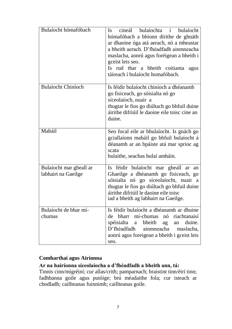| Bulaíocht hómafóbach                           | cineál bulaíochta í bulaíocht<br>$\mathbf{I}$ s<br>hómafóbach a bhíonn dírithe de ghnáth<br>ar dhaoine óga atá aerach, nó a mheastar<br>a bheith aerach. D'fhéadfadh ainmneacha<br>maslacha, aonrú agus foréigean a bheith i<br>gceist leis seo.<br>Is rud thar a bheith coitianta<br>agus<br>táireach í bulaíocht homafóbach. |
|------------------------------------------------|--------------------------------------------------------------------------------------------------------------------------------------------------------------------------------------------------------------------------------------------------------------------------------------------------------------------------------|
| <b>Bulaíocht Chiníoch</b>                      | Is féidir bulaíocht chiníoch a dhéanamh<br>go fisiceach, go sóisialta nó go<br>síceolaíoch, nuair a<br>thugtar le fios go diúltach go bhfuil duine<br>áirithe difriúil le daoine eile toisc cine an<br>duine.                                                                                                                  |
| Mabáil                                         | Seo focal eile ar bhulaíocht. Is gnách go<br>gciallaíonn mabáil go bhfuil bulaíocht á<br>déanamh ar an bpáiste atá mar sprioc ag<br>scata<br>bulaithe, seachas bulaí amháin.                                                                                                                                                   |
| Bulaíocht mar gheall ar<br>labhairt na Gaeilge | Is féidir bulaíocht mar gheall ar<br>an<br>Ghaeilge a dhéanamh go fisiceach, go<br>sóisialta nó go síceolaíocht, nuair a<br>thugtar le fios go diúltach go bhfuil duine<br>áirithe difriúil le daoine eile toisc<br>iad a bheith ag labhairt na Gaeilge.                                                                       |
| Bulaíocht de bhar mí-<br>chumas                | Is féidir bulaíocht a dhéanamh ar dhuine<br>bharr mí-chumas<br>nó<br>riachtanaisí<br>de<br>spéisialta<br>bheith<br>duine.<br>ag<br>a<br>an<br>D'fhéadfadh<br>ainmneacha<br>maslacha,<br>aonrú agus foreigean a bheith i gceist leis<br>seo.                                                                                    |

#### **Comharthaí agus Airíonna**

#### **Ar na hairíonna síceolaíocha a d'fhéadfadh a bheith ann, tá:**

Tinnis cinn/mígréiní; cur allas/crith; pamparnach; braistint tinn/éirí tinn; fadhbanna goile agus putóige; brú méadaithe fola; cur isteach ar chodladh; caillteanas fuinnimh; caillteanas goile.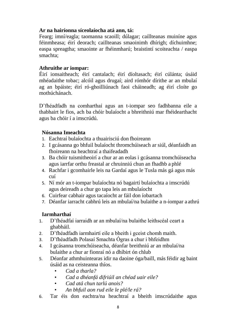#### **Ar na hairíonna síceolaíocha atá ann, tá:**

Fearg; imní/eagla; taomanna scaoill; dúlagar; caillteanas muiníne agus féinmheasa; éirí deorach; caillteanas smaoinimh dhírigh; díchuimhne; easpa spreagtha; smaointe ar fhéinmharú; braistintí scoiteachta / easpa smachta;

#### **Athruithe ar iompar:**

Éirí ionsaitheach; éirí cantalach; éirí díoltasach; éirí cúlánta; úsáid mhéadaithe tobac; alcóil agus drugaí; aird rómhór dírithe ar an mbulaí ag an bpáiste; éirí ró-ghoilliúnach faoi cháineadh; ag éirí cloíte go mothúchánach.

D'fhéadfadh na comharthaí agus an t-iompar seo fadhbanna eile a thabhairt le fios, ach ba chóir bulaíocht a bhreithniú mar fhéidearthacht agus ba chóir í a imscrúdú.

#### **Nósanna Imeachta**

- 1. Eachtraí bulaíochta a thuairisciú don fhoireann
- 2. I gcásanna go bhfuil bulaíocht thromchúiseach ar siúl, déanfaidh an fhoireann na heachtraí a thaifeadadh
- 3. Ba chóir tuismitheoirí a chur ar an eolas i gcásanna tromchúiseacha agus iarrfar orthu freastal ar chruinniú chun an fhadhb a phlé
- 4. Rachfar i gcomhairle leis na Gardaí agus le Tusla más gá agus más cuí
- 5. Ní mór an t-iompar bulaíochta nó bagairtí bulaíochta a imscrúdú agus deireadh a chur go tapa leis an mbulaíocht
- 6. Cuirfear cabhair agus tacaíocht ar fáil don íobartach
- 7. Déanfar iarracht cabhrú leis an mbulaí/na bulaithe a n-iompar a athrú

#### **Iarmharthaí**

- 1. D'fhéadfaí iarraidh ar an mbulaí/na bulaithe leithscéal ceart a ghabháil.
- 2. D'fhéadfadh iarmhairtí eile a bheith i gceist chomh maith.
- 3. D'fhéadfadh Polasaí Smachta Ógras a chur i bhfeidhm
- 4. I gcásanna tromchúiseacha, déanfar breithniú ar an mbulaí/na bulaithe a chur ar fionraí nó a dhíbirt ón chlub
- 5. Déanfar athmhuintearas idir na daoine óga/baill, más féidir ag baint úsáid as na ceisteanna thíos.
	- *Cad a tharla?*
	- *Cad a dhéanfá difriúil an chéad uair eile?*
	- *Cad atá chun tarlú anois?*
	- *An bhfuil aon rud eile le plé/le rá?*
- 6. Tar éis don eachtra/na heachtraí a bheith imscrúdaithe agus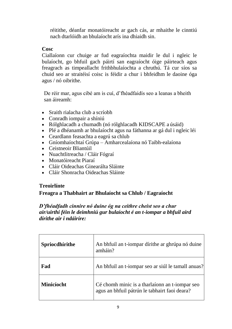réitithe, déanfar monatóireacht ar gach cás, ar mhaithe le cinntiú nach dtarlóidh an bhulaíocht arís ina dhiaidh sin.

#### **Cosc**

Ciallaíonn cur chuige ar fud eagraíochta maidir le dul i ngleic le bulaíocht, go bhfuil gach páirtí san eagraíocht óige páirteach agus freagrach as timpeallacht frithbhulaíochta a chruthú. Tá cur síos sa chuid seo ar straitéisí coisc is féidir a chur i bhfeidhm le daoine óga agus / nó oibrithe.

De réir mar, agus cibé am is cuí, d'fhéadfaidís seo a leanas a bheith san áireamh:

- Sraith rialacha club a scríobh
- Conradh iompair a shíniú
- Rólghlacadh a chumadh (nó rólghlacadh KIDSCAPE a úsáid)
- Plé a dhéanamh ar bhulaíocht agus na fáthanna ar gá dul i ngleic léi
- Ceardlann feasachta a eagrú sa chlub
- Gníomhaíochtaí Grúpa Amharcealaíona nó Taibh-ealaíona
- Ceistneoir Bliantúil
- Nuachtlitreacha / Cláir Fógraí
- Monatóireacht Piaraí
- Cláir Oideachas Ginearálta Sláinte
- Cláir Shonracha Oideachas Sláinte

#### **Treoirlínte**

#### **Freagra a Thabhairt ar Bhulaíocht sa Chlub / Eagraíocht**

#### *D'fhéadfadh cinnire nó duine óg na ceithre cheist seo a chur air/uirthi féin le deimhniú gur bulaíocht é an t-iompar a bhfuil aird dírithe air i ndáiríre:*

| Spriocdhírithe    | An bhfuil an t-iompar dírithe ar ghrúpa nó duine<br>amháin?                                     |
|-------------------|-------------------------------------------------------------------------------------------------|
| Fad               | An bhfuil an t-iompar seo ar siúl le tamall anuas?                                              |
| <b>Minicíocht</b> | Cé chomh minic is a tharlaíonn an t-iompar seo<br>agus an bhfuil pátrún le tabhairt faoi deara? |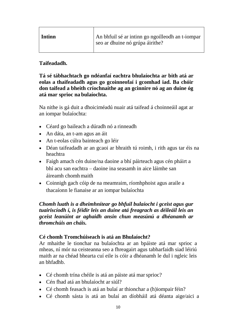| Intinn | An bhfuil sé ar intinn go ngoilleodh an t-iompar<br>seo ar dhuine nó grúpa áirithe? |
|--------|-------------------------------------------------------------------------------------|
|        |                                                                                     |

#### **Taifeadadh.**

**Tá sé tábhachtach go ndéanfaí eachtra bhulaíochta ar bith atá ar eolas a thaifeadadh agus go gcoinneofaí i gcomhad iad. Ba chóir don taifead a bheith críochnaithe ag an gcinnire nó ag an duine óg atá mar sprioc na bulaíochta.**

Na nithe is gá duit a dhoiciméadú nuair atá taifead á choinneáil agat ar an iompar bulaíochta:

- Céard go baileach a dúradh nó a rinneadh
- An dáta, an t-am agus an áit
- An t-eolas cúlra bainteach go léir
- Déan taifeadadh ar an gcaoi ar bhraith tú roimh, i rith agus tar éis na heachtra
- Faigh amach cén duine/na daoine a bhí páirteach agus cén pháirt a bhí acu san eachtra – daoine ina seasamh in aice láimhe san áireamh chomhmaith
- Coinnigh gach cóip de na meamraim, ríomhphoist agus araile a thacaíonn le fianaise ar an iompar bulaíochta

#### *Chomh luath is a dheimhnítear go bhfuil bulaíocht i gceist agus gur tuairiscíodh í, is féidir leis an duine atá freagrach as déileáil leis an gceist leanúint ar aghaidh ansin chun measúnú a dhéanamh ar thromchúis an cháis.*

#### **Cé chomh Tromchúiseach is atá an Bhulaíocht?**

Ar mhaithe le tionchar na bulaíochta ar an bpáiste atá mar sprioc a mheas, ní mór na ceisteanna seo a fhreagairt agus tabharfaidh siad léiriú maith ar na chéad bhearta cuí eile is cóir a dhéanamh le dul i ngleic leis an bhfadhb.

- Cé chomh trína chéile is atá an páiste atá mar sprioc?
- Cén fhad atá an bhulaíocht ar siúl?
- Cé chomh feasach is atá an bulaí ar thionchar a (h)iompair féin?
- Cé chomh sásta is atá an bulaí an díobháil atá déanta aige/aici a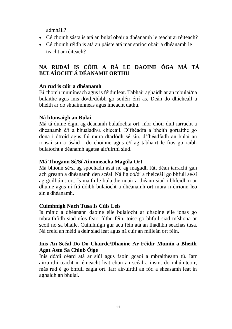admháil?

- Cé chomh sásta is atá an bulaí obair a dhéanamh le teacht arréiteach?
- Cé chomh réidh is atá an páiste atá mar sprioc obair a dhéanamh le teacht ar réiteach?

# **NA RUDAÍ IS CÓIR A RÁ LE DAOINE ÓGA MÁ TÁ BULAÍOCHT Á DÉANAMH ORTHU**

#### **An rud is cóir a dhéanamh**

Bí chomh muiníneach agus is féidir leat. Tabhair aghaidh ar an mbulaí/na bulaithe agus inis dó/di/dóibh go soiléir éirí as. Deán do dhícheall a bheith ar do shuaimhneas agus imeacht uathu.

#### **Ná hIonsaigh an Bulaí**

Má tá duine éigin ag déanamh bulaíochta ort, níor chóir duit iarracht a dhéanamh é/í a bhualadh/a chiceáil. D'fhéadfá a bheith gortaithe go dona i dtroid agus fiú mura dtarlódh sé sin, d'fhéadfadh an bulaí an ionsaí sin a úsáid i do choinne agus é/í ag tabhairt le fios go raibh bulaíocht á déanamh agatsa air/uirthi siúd.

#### **Má Thugann Sé/Sí Ainmneacha Magúla Ort**

Má bhíonn sé/sí ag spochadh asat nó ag magadh fút, déan iarracht gan ach greann a dhéanamh den scéal. Ná lig dó/di a fheiceáil go bhfuil sé/sí ag goilliúint ort. Is maith le bulaithe nuair a théann siad i bhfeidhm ar dhuine agus ní fiú dóibh bulaíocht a dhéanamh ort mura n-éiríonn leo sin a dhéanamh.

#### **Cuimhnigh Nach Tusa Is Cúis Leis**

Is minic a dhéanann daoine eile bulaíocht ar dhaoine eile ionas go mbraithfidh siad níos fearr fúthu féin, toisc go bhfuil siad míshona ar scoil nó sa bhaile. Cuimhnigh gur acu féin atá an fhadhbh seachas tusa. Ná creid an méid a deir siad leat agus ná cuir an milleán ort féin.

#### **Inis An Scéal Do Do Chairde/Dhaoine Ar Féidir Muinín a Bheith Agat Astu Sa Chlub Óige**

Inis dó/di céard atá ar siúl agus faoin gcaoi a mbraitheann tú. Iarr air/uirthi teacht in éineacht leat chun an scéal a insint do mhúinteoir, más rud é go bhfuil eagla ort. Iarr air/uirthi an fód a sheasamh leat in aghaidh an bhulaí.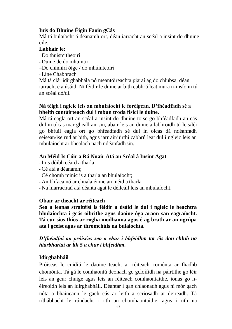#### **Inis do Dhuine Éigin Faoin gCás**

Má tá bulaíocht á déanamh ort, déan iarracht an scéal a insint do dhuine eile.

#### **Labhair le:**

- Do thuismitheoirí
- Duine de do mhuintir
- –Do chinnirí óige / do mhúinteoirí
- Líne Chabhrach

Má tá clár idirghabhála nó meantóireachta piaraí ag do chlubsa, déan iarracht é a úsáid. Ní féidir le duine ar bith cabhrú leat mura n-insíonn tú an scéal dó/di.

#### **Ná téigh i ngleic leis an mbulaíocht le foréigean. D'fhéadfadh sé a bheith contúirteach dul i mbun troda fisicí le duine.**

Má tá eagla ort an scéal a insint do dhuine toisc go bhféadfadh an cás dul in olcas mar gheall air sin, abair leis an duine a labhróidh tú leis/léi go bhfuil eagla ort go bhféadfadh sé dul in olcas dá ndéanfadh seisean/ise rud ar bith, agus iarr air/uirthi cabhrú leat dul i ngleic leis an mbulaíocht ar bhealach nach ndéanfadh sin.

#### **An Méid Is Cóir a Rá Nuair Atá an Scéal á Insint Agat**

- Inis dóibh céard a tharla;
- Cé atá á déanamh;
- Cé chomh minic is a tharla an bhulaíocht;
- An bhfaca nó ar chuala éinne an méid a tharla
- Na hiarrachtaí atá déanta agat le déileáil leis an mbulaíocht.

#### **Obair ar theacht ar réiteach**

**Seo a leanas straitéisí is féidir a úsáid le dul i ngleic le heachtra bhulaíochta i gcás oibrithe agus daoine óga araon san eagraíocht. Tá cur síos thíos ar rogha modhanna agus é ag brath ar an ngrúpa atá i gceist agus ar thromchúis na bulaíochta.**

#### *D'fhéadfaí an próiséas seo a chur i bhfeidhm tar éis don chlub na hiarbhartaí ar lth 5 a chur i bhfeidhm.*

#### **Idirghabháil**

Próiseas le cuidiú le daoine teacht ar réiteach comónta ar fhadhb chomónta. Tá gá le comhaontú deonach go gcloífidh na páirtithe go léir leis an gcur chuige agus leis an réiteach comhaontaithe, ionas go néireoidh leis an idirghabháil. Déantar í gan chlaonadh agus ní mór gach nóta a bhaineann le gach cás ar leith a scriosadh ar deireadh. Tá ríthábhacht le rúndacht i rith an chomhaontaithe, agus i rith na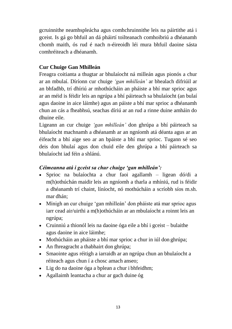gcruinnithe neamhspleácha agus comhchruinnithe leis na páirtithe atá i gceist. Is gá go bhfuil an dá pháirtí toilteanach comhoibriú a dhéanamh chomh maith, ós rud é nach n-éireoidh léi mura bhfuil daoine sásta comhréiteach a dhéanamh.

## **Cur Chuige Gan Mhilleán**

Freagra coitianta a thugtar ar bhulaíocht ná milleán agus pionós a chur ar an mbulaí. Díríonn cur chuige *'gan mhilleán'* ar bhealach difriúil ar an bhfadhb, trí dhíriú ar mhothúcháin an pháiste a bhí mar sprioc agus ar an méid is féidir leis an ngrúpa a bhí páirteach sa bhulaíocht (an bulaí agus daoine in aice láimhe) agus an páiste a bhí mar sprioc a dhéanamh chun an cás a fheabhsú, seachas díriú ar an rud a rinne duine amháin do dhuine eile.

Ligeann an cur chuige *'gan mhilleán'* don ghrúpa a bhí páirteach sa bhulaíocht machnamh a dhéanamh ar an ngníomh atá déanta agus ar an éifeacht a bhí aige seo ar an bpáiste a bhí mar sprioc. Tugann sé seo deis don bhulaí agus don chuid eile den ghrúpa a bhí páirteach sa bhulaíocht iad féin a shlánú.

#### *Céimeanna atá i gceist sa chur chuige 'gan mhilleán':*

- Sprioc na bulaíochta a chur faoi agallamh ligean dó/di a m(h)othúchán maidir leis an ngníomh a tharla a mhíniú, rud is féidir a dhéanamh trí chaint, líníocht, nó mothúcháin a scríobh síos m.sh. mar dhán;
- Mínigh an cur chuige 'gan mhilleán' don pháiste atá mar sprioc agus iarr cead air/uirthi a m(h)othúcháin ar an mbulaíocht a roinnt leis an ngrúpa;
- Cruinniú a thionól leis na daoine óga eile a bhí i gceist bulaithe agus daoine in aice láimhe;
- Mothúcháin an pháiste a bhí mar sprioc a chur in iúl don ghrúpa;
- An fhreagracht a thabhairt don ghrúpa;
- Smaointe agus réitigh a iarraidh ar an ngrúpa chun an bhulaíocht a réiteach agus chun í a chosc amach anseo;
- Lig do na daoine óga a bplean a chur i bhfeidhm;
- Agallaimh leantacha a chur ar gach duine óg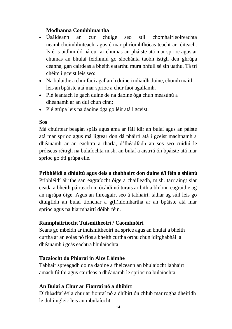#### **Modhanna Comhbhuartha**

- Úsáideann an cur chuige seo stíl chomhairleoireachta neamhchoimhlinteach, agus é mar phríomhfhócas teacht ar réiteach. Is é is aidhm dó ná cur ar chumas an pháiste atá mar sprioc agus ar chumas an bhulaí feidhmiú go síochánta taobh istigh den ghrúpa céanna, gan cairdeas a bheith eatarthu mura bhfuil sé sin uathu. Tá trí chéim i gceist leis seo:
- Na bulaithe a chur faoi agallamh duine i ndiaidh duine, chomh maith leis an bpáiste atá mar sprioc a chur faoi agallamh.
- Plé leantach le gach duine de na daoine óga chun measúnú a dhéanamh ar an dul chun cinn;
- Plé grúpa leis na daoine óga go léir atá i gceist.

#### **Sos**

Má chuirtear beagán spáis agus ama ar fáil idir an bulaí agus an páiste atá mar sprioc agus má ligtear don dá pháirtí atá i gceist machnamh a dhéanamh ar an eachtra a tharla, d'fhéadfadh an sos seo cuidiú le próiséas réitigh na bulaíochta m.sh. an bulaí a aistriú ón bpáiste atá mar sprioc go dtí grúpa eile.

## **Pribhléidí a dhiúltú agus deis a thabhairt don duine é/í féin a shlánú**

Pribhléidí áirithe san eagraíocht óige a chailleadh, m.sh. tarrraingt siar ceada a bheith páirteach in ócáidí nó turais ar bith a bhíonn eagraithe ag an ngrúpa óige. Agus an fhreagairt seo á tabhairt, táthar ag súil leis go dtuigfidh an bulaí tionchar a g(h)níomhartha ar an bpáiste atá mar sprioc agus na hiarmhairtí dóibh féin.

#### **Rannpháirtíocht Tuismitheoirí / Caomhnóirí**

Seans go mbeidh ar thuismitheoirí na sprice agus an bhulaí a bheith curtha ar an eolas nó fios a bheith curtha orthu chun idirghabháil a dhéanamh i gcás eachtra bhulaíochta.

#### **Tacaíocht do Phiaraí in Aice Láimhe**

Tabhair spreagadh do na daoine a fheiceann an bhulaíocht labhairt amach fúithi agus cairdeas a dhéanamh le sprioc na bulaíochta.

#### **An Bulaí a Chur ar Fionraí nó a dhíbirt**

D'fhéadfaí é/í a chur ar fionraí nó a dhíbirt ón chlub mar rogha dheiridh le dul i ngleic leis an mbulaíocht.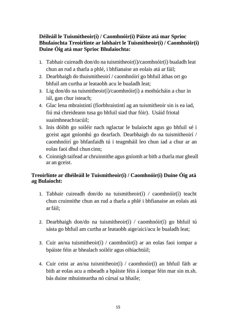#### **Déileáil le Tuismitheoir(í) / Caomhnóir(í) Páiste atá mar Sprioc Bhulaíochta Treoirlínte ar labhairt le Tuismitheoir(í) / Caomhnóir(í) Duine Óig atá mar Sprioc Bhulaíochta:**

- 1. Tabhair cuireadh don/do na tuismitheoir(í)/caomhnóir(í) bualadh leat chun an rud a tharla a phlé, i bhfianaise an eolais atá ar fáil;
- 2. Dearbhaigh do thuismitheoirí / caomhnóirí go bhfuil áthas ort go bhfuil am curtha ar leataobh acu le bualadh leat;
- 3. Lig don/do na tuismitheoir(í)/caomhnóir(í) a mothúcháin a chur in iúl, gan chur isteach;
- 4. Glac lena mbraistintí (fíorbhraistintí ag an tuismitheoir sin is ea iad, fiú má chreideann tusa go bhfuil siad thar fóir). Usáid friotal suaimhneach tacúil;
- 5. Inis dóibh go soiléir nach nglactar le bulaíocht agus go bhfuil sé i gceist agat gníomhú go dearfach. Dearbhaigh do na tuismitheoirí / caomhnóirí go bhfanfaidh tú i teagmháil leo chun iad a chur ar an eolas faoi dhul chun cinn;
- 6. Coinnigh taifead ar chruinnithe agus gníomh ar bith a tharla mar gheall ar an gceist.

## **Treoirlínte ar dhéileáil le Tuismitheoir(í) / Caomhnóir(í) Duine Óig atá ag Bulaíocht:**

- 1. Tabhair cuireadh don/do na tuismitheoir(í) / caomhnóir(í) teacht chun cruinnithe chun an rud a tharla a phlé i bhfianaise an eolais atá arfáil;
- 2. Dearbhaigh don/do na tuismitheoir(í) / caomhnóir(í) go bhfuil tú sásta go bhfuil am curtha ar leataobh aige/aici/acu le bualadh leat;
- 3. Cuir an/na tuismitheoir(í) / caomhnóir(í) ar an eolas faoi iompar a bpáiste féin ar bhealach soiléir agus oibiachtúil;
- 4. Cuir ceist ar an/na tuismitheoir(í) / caomhnóir(í) an bhfuil fáth ar bith ar eolas acu a mbeadh a bpáiste féin á iompar féin mar sin m.sh. bás duine mhuinteartha nó cúrsaí sa bhaile;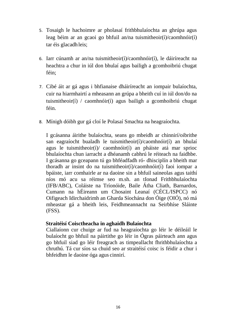- 5. Tosaigh le hachoimre ar pholasaí frithbhulaíochta an ghrúpa agus leag béim ar an gcaoi go bhfuil an/na tuismitheoir(í)/caomhnóir(í) tar éis glacadhleis;
- 6. Iarr cúnamh ar an/na tuismitheoir(í)/caomhnóir(í), le dáiríreacht na heachtra a chur in iúl don bhulaí agus bailigh a gcomhoibriú chugat féin;
- 7. Cibé áit ar gá agus i bhfianaise dháiríreacht an iompair bulaíochta, cuir na hiarmhairtí a mheasann an grúpa a bheith cuí in iúl don/do na tuismitheoir(í) / caomhnóir(í) agus bailigh a gcomhoibriú chugat féin.
- 8. Mínigh dóibh gur gá cloí le Polasaí Smachta na heagraíochta.

I gcásanna áirithe bulaíochta, seans go mbeidh ar chinnirí/oibrithe san eagraíocht bualadh le tuismitheoir(í)/caomhnóir(í) an bhulaí agus le tuismitheoir(í)/ caomhnóir(í) an pháiste atá mar sprioc bhulaíochta chun iarracht a dhéanamh cabhrú le réiteach na faidhbe. I gcásanna go gceapann tú go bhféadfadh ró- dhisciplín a bheith mar thoradh ar insint do na tuismitheoir(í)/caomhnóir(í) faoi iompar a bpáiste, iarr comhairle ar na daoine sin a bhfuil saineolas agus taithí níos mó acu sa réimse seo m.sh. an tIonad Frithbhulaíochta (IFB/ABC), Coláiste na Tríonóide, Baile Átha Cliath, Barnardos, Cumann na hÉireann um Chosaint Leanaí (CÉCL/ISPCC) nó Oifigeach Idirchaidrimh an Gharda Síochána don Óige (OIÓ), nó má mheastar gá a bheith leis, Feidhmeannacht na Seirbhíse Sláinte (FSS).

#### **Straitéisí Coisctheacha in aghaidh Bulaíochta**

Ciallaíonn cur chuige ar fud na heagraíochta go léir le déileáil le bulaíocht go bhfuil na páirtithe go léir in Ógras páirteach ann agus go bhfuil siad go léir freagrach as timpeallacht fhrithbhulaíochta a chruthú. Tá cur síos sa chuid seo ar straitéisí coisc is féidir a chur i bhfeidhm le daoine óga agus cinnirí.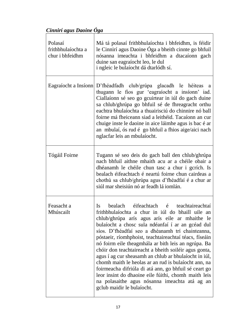*Cinnirí agus Daoine Óga*

| Polasaí<br>frithbhulaíochta a<br>chur i bhfeidhm | Má tá polasaí frithbhulaíochta i bhfeidhm, is féidir<br>le Cinnirí agus Daoine Óga a bheith cinnte go bhfuil<br>nósanna imeachta i bhfeidhm a dtacaíonn gach<br>duine san eagraíocht leo, le dul<br>i ngleic le bulaíocht dá dtarlódh sí.                                                                                                                                                                                                                                                                                                                                                                                                                                                                                                                    |
|--------------------------------------------------|--------------------------------------------------------------------------------------------------------------------------------------------------------------------------------------------------------------------------------------------------------------------------------------------------------------------------------------------------------------------------------------------------------------------------------------------------------------------------------------------------------------------------------------------------------------------------------------------------------------------------------------------------------------------------------------------------------------------------------------------------------------|
|                                                  | Eagraíocht a Insíonn D'fhéadfadh club/grúpa glacadh le héiteas a<br>thugann le fios gur 'eagraíocht a insíonn' iad.<br>Ciallaíonn sé seo go gcuirtear in iúl do gach duine<br>sa chlub/ghrúpa go bhfuil sé de fhreagracht orthu<br>eachtra bhulaíochta a thuairisciú do chinnire nó ball<br>foirne má fheiceann siad a leithéid. Tacaíonn an cur<br>chuige inste le daoine in aice láimhe agus is bac é ar<br>an mbulaí, ós rud é go bhfuil a fhios aige/aici nach<br>nglacfar leis an mbulaíocht.                                                                                                                                                                                                                                                           |
| Tógáil Foirne                                    | Tugann sé seo deis do gach ball den chlub/ghrúpa<br>nach bhfuil aithne mhaith acu ar a chéile obair a<br>dhéanamh le chéile chun tasc a chur i gcrích. Is<br>bealach éifeachtach é neartú foirne chun cairdeas a<br>chothú sa chlub/ghrúpa agus d'fhéadfaí é a chur ar<br>siúl mar sheisiún nó ar feadh lá iomlán.                                                                                                                                                                                                                                                                                                                                                                                                                                           |
| Feasacht a<br>Mhúscailt                          | bealach<br>éifeachtach é<br>teachtaireachtaí<br>Is<br>frithbhulaíochta a chur in iúl do bhaill uile an<br>chlub/ghrúpa arís agus arís eile ar mhaithe le<br>bulaíocht a chosc sula ndéanfaí í ar an gcéad dul<br>síos. D'fhéadfaí seo a dhéanamh trí chainteanna,<br>póstaeir, ríomhphoist, teachtaireachtaí téacs, físeáin<br>nó foirm eile theagmhála ar bith leis an ngrúpa. Ba<br>chóir don teachtaireacht a bheith soiléir agus gonta,<br>agus í ag cur sheasamh an chlub ar bhulaíocht in iúl,<br>chomh maith le heolas ar an rud is bulaíocht ann, na<br>foirmeacha difriúla di atá ann, go bhfuil sé ceart go<br>leor insint do dhaoine eile fúithi, chomh maith leis<br>na polasaithe agus nósanna imeachta atá ag an<br>gclub maidir le bulaíocht. |